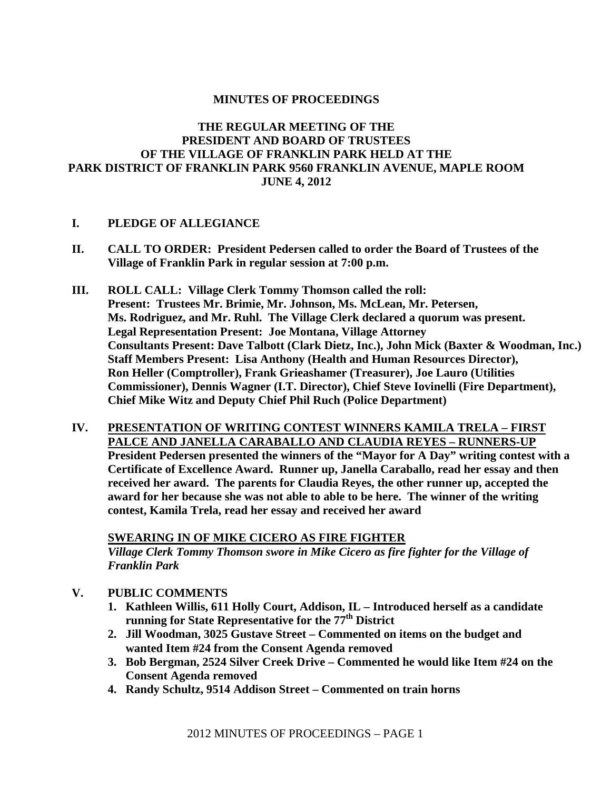## **MINUTES OF PROCEEDINGS**

# **THE REGULAR MEETING OF THE PRESIDENT AND BOARD OF TRUSTEES OF THE VILLAGE OF FRANKLIN PARK HELD AT THE PARK DISTRICT OF FRANKLIN PARK 9560 FRANKLIN AVENUE, MAPLE ROOM JUNE 4, 2012**

## **I. PLEDGE OF ALLEGIANCE**

- **II. CALL TO ORDER: President Pedersen called to order the Board of Trustees of the Village of Franklin Park in regular session at 7:00 p.m.**
- **III. ROLL CALL: Village Clerk Tommy Thomson called the roll: Present: Trustees Mr. Brimie, Mr. Johnson, Ms. McLean, Mr. Petersen, Ms. Rodriguez, and Mr. Ruhl. The Village Clerk declared a quorum was present. Legal Representation Present: Joe Montana, Village Attorney Consultants Present: Dave Talbott (Clark Dietz, Inc.), John Mick (Baxter & Woodman, Inc.) Staff Members Present: Lisa Anthony (Health and Human Resources Director), Ron Heller (Comptroller), Frank Grieashamer (Treasurer), Joe Lauro (Utilities Commissioner), Dennis Wagner (I.T. Director), Chief Steve Iovinelli (Fire Department), Chief Mike Witz and Deputy Chief Phil Ruch (Police Department)**
- **IV. PRESENTATION OF WRITING CONTEST WINNERS KAMILA TRELA FIRST PALCE AND JANELLA CARABALLO AND CLAUDIA REYES – RUNNERS-UP President Pedersen presented the winners of the "Mayor for A Day" writing contest with a Certificate of Excellence Award. Runner up, Janella Caraballo, read her essay and then received her award. The parents for Claudia Reyes, the other runner up, accepted the award for her because she was not able to able to be here. The winner of the writing contest, Kamila Trela, read her essay and received her award**

**SWEARING IN OF MIKE CICERO AS FIRE FIGHTER**

*Village Clerk Tommy Thomson swore in Mike Cicero as fire fighter for the Village of Franklin Park* 

- **V. PUBLIC COMMENTS**
	- **1. Kathleen Willis, 611 Holly Court, Addison, IL Introduced herself as a candidate running for State Representative for the 77<sup>th</sup> District**
	- **2. Jill Woodman, 3025 Gustave Street Commented on items on the budget and wanted Item #24 from the Consent Agenda removed**
	- **3. Bob Bergman, 2524 Silver Creek Drive Commented he would like Item #24 on the Consent Agenda removed**
	- **4. Randy Schultz, 9514 Addison Street Commented on train horns**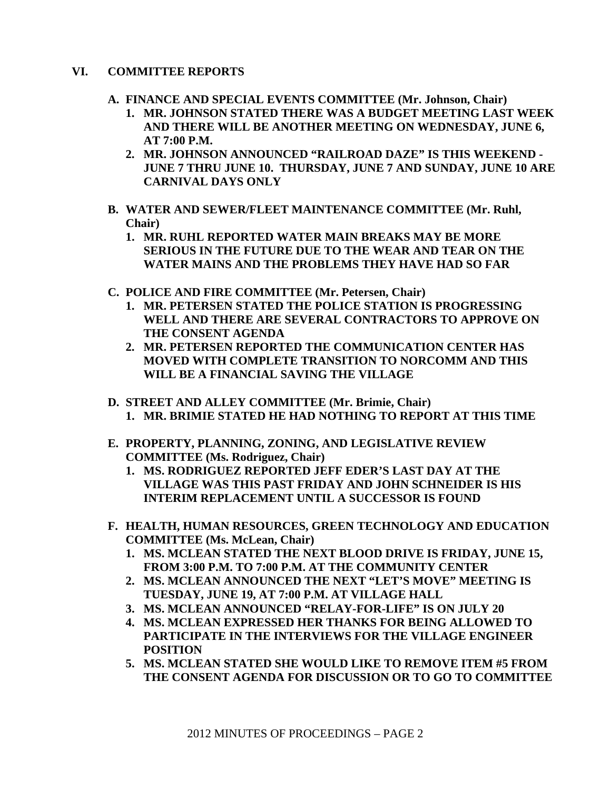# **VI. COMMITTEE REPORTS**

- **A. FINANCE AND SPECIAL EVENTS COMMITTEE (Mr. Johnson, Chair)** 
	- **1. MR. JOHNSON STATED THERE WAS A BUDGET MEETING LAST WEEK AND THERE WILL BE ANOTHER MEETING ON WEDNESDAY, JUNE 6, AT 7:00 P.M.**
	- **2. MR. JOHNSON ANNOUNCED "RAILROAD DAZE" IS THIS WEEKEND - JUNE 7 THRU JUNE 10. THURSDAY, JUNE 7 AND SUNDAY, JUNE 10 ARE CARNIVAL DAYS ONLY**
- **B. WATER AND SEWER/FLEET MAINTENANCE COMMITTEE (Mr. Ruhl, Chair)** 
	- **1. MR. RUHL REPORTED WATER MAIN BREAKS MAY BE MORE SERIOUS IN THE FUTURE DUE TO THE WEAR AND TEAR ON THE WATER MAINS AND THE PROBLEMS THEY HAVE HAD SO FAR**
- **C. POLICE AND FIRE COMMITTEE (Mr. Petersen, Chair)** 
	- **1. MR. PETERSEN STATED THE POLICE STATION IS PROGRESSING WELL AND THERE ARE SEVERAL CONTRACTORS TO APPROVE ON THE CONSENT AGENDA**
	- **2. MR. PETERSEN REPORTED THE COMMUNICATION CENTER HAS MOVED WITH COMPLETE TRANSITION TO NORCOMM AND THIS WILL BE A FINANCIAL SAVING THE VILLAGE**
- **D. STREET AND ALLEY COMMITTEE (Mr. Brimie, Chair)** 
	- **1. MR. BRIMIE STATED HE HAD NOTHING TO REPORT AT THIS TIME**
- **E. PROPERTY, PLANNING, ZONING, AND LEGISLATIVE REVIEW COMMITTEE (Ms. Rodriguez, Chair)** 
	- **1. MS. RODRIGUEZ REPORTED JEFF EDER'S LAST DAY AT THE VILLAGE WAS THIS PAST FRIDAY AND JOHN SCHNEIDER IS HIS INTERIM REPLACEMENT UNTIL A SUCCESSOR IS FOUND**
- **F. HEALTH, HUMAN RESOURCES, GREEN TECHNOLOGY AND EDUCATION COMMITTEE (Ms. McLean, Chair)** 
	- **1. MS. MCLEAN STATED THE NEXT BLOOD DRIVE IS FRIDAY, JUNE 15, FROM 3:00 P.M. TO 7:00 P.M. AT THE COMMUNITY CENTER**
	- **2. MS. MCLEAN ANNOUNCED THE NEXT "LET'S MOVE" MEETING IS TUESDAY, JUNE 19, AT 7:00 P.M. AT VILLAGE HALL**
	- **3. MS. MCLEAN ANNOUNCED "RELAY-FOR-LIFE" IS ON JULY 20**
	- **4. MS. MCLEAN EXPRESSED HER THANKS FOR BEING ALLOWED TO PARTICIPATE IN THE INTERVIEWS FOR THE VILLAGE ENGINEER POSITION**
	- **5. MS. MCLEAN STATED SHE WOULD LIKE TO REMOVE ITEM #5 FROM THE CONSENT AGENDA FOR DISCUSSION OR TO GO TO COMMITTEE**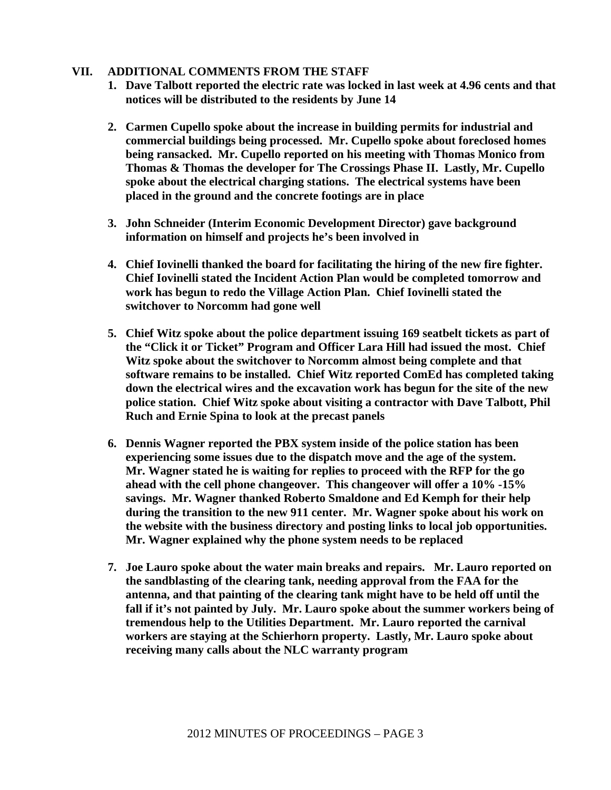## **VII. ADDITIONAL COMMENTS FROM THE STAFF**

- **1. Dave Talbott reported the electric rate was locked in last week at 4.96 cents and that notices will be distributed to the residents by June 14**
- **2. Carmen Cupello spoke about the increase in building permits for industrial and commercial buildings being processed. Mr. Cupello spoke about foreclosed homes being ransacked. Mr. Cupello reported on his meeting with Thomas Monico from Thomas & Thomas the developer for The Crossings Phase II. Lastly, Mr. Cupello spoke about the electrical charging stations. The electrical systems have been placed in the ground and the concrete footings are in place**
- **3. John Schneider (Interim Economic Development Director) gave background information on himself and projects he's been involved in**
- **4. Chief Iovinelli thanked the board for facilitating the hiring of the new fire fighter. Chief Iovinelli stated the Incident Action Plan would be completed tomorrow and work has begun to redo the Village Action Plan. Chief Iovinelli stated the switchover to Norcomm had gone well**
- **5. Chief Witz spoke about the police department issuing 169 seatbelt tickets as part of the "Click it or Ticket" Program and Officer Lara Hill had issued the most. Chief Witz spoke about the switchover to Norcomm almost being complete and that software remains to be installed. Chief Witz reported ComEd has completed taking down the electrical wires and the excavation work has begun for the site of the new police station. Chief Witz spoke about visiting a contractor with Dave Talbott, Phil Ruch and Ernie Spina to look at the precast panels**
- **6. Dennis Wagner reported the PBX system inside of the police station has been experiencing some issues due to the dispatch move and the age of the system. Mr. Wagner stated he is waiting for replies to proceed with the RFP for the go ahead with the cell phone changeover. This changeover will offer a 10% -15% savings. Mr. Wagner thanked Roberto Smaldone and Ed Kemph for their help during the transition to the new 911 center. Mr. Wagner spoke about his work on the website with the business directory and posting links to local job opportunities. Mr. Wagner explained why the phone system needs to be replaced**
- **7. Joe Lauro spoke about the water main breaks and repairs. Mr. Lauro reported on the sandblasting of the clearing tank, needing approval from the FAA for the antenna, and that painting of the clearing tank might have to be held off until the fall if it's not painted by July. Mr. Lauro spoke about the summer workers being of tremendous help to the Utilities Department. Mr. Lauro reported the carnival workers are staying at the Schierhorn property. Lastly, Mr. Lauro spoke about receiving many calls about the NLC warranty program**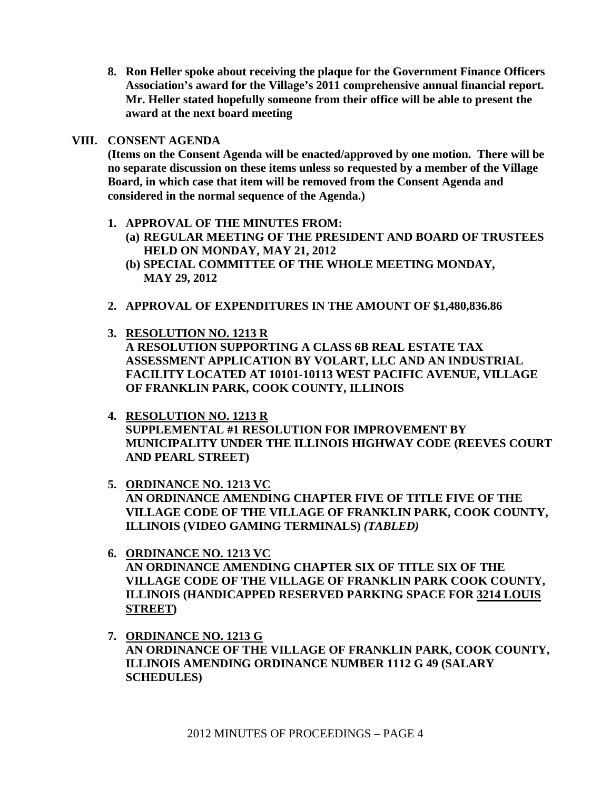**8. Ron Heller spoke about receiving the plaque for the Government Finance Officers Association's award for the Village's 2011 comprehensive annual financial report. Mr. Heller stated hopefully someone from their office will be able to present the award at the next board meeting** 

# **VIII. CONSENT AGENDA**

**(Items on the Consent Agenda will be enacted/approved by one motion. There will be no separate discussion on these items unless so requested by a member of the Village Board, in which case that item will be removed from the Consent Agenda and considered in the normal sequence of the Agenda.)** 

- **1. APPROVAL OF THE MINUTES FROM:** 
	- **(a) REGULAR MEETING OF THE PRESIDENT AND BOARD OF TRUSTEES HELD ON MONDAY, MAY 21, 2012**
	- **(b) SPECIAL COMMITTEE OF THE WHOLE MEETING MONDAY, MAY 29, 2012**
- **2. APPROVAL OF EXPENDITURES IN THE AMOUNT OF \$1,480,836.86**
- **3. RESOLUTION NO. 1213 R A RESOLUTION SUPPORTING A CLASS 6B REAL ESTATE TAX ASSESSMENT APPLICATION BY VOLART, LLC AND AN INDUSTRIAL FACILITY LOCATED AT 10101-10113 WEST PACIFIC AVENUE, VILLAGE OF FRANKLIN PARK, COOK COUNTY, ILLINOIS** 
	- **4. RESOLUTION NO. 1213 R SUPPLEMENTAL #1 RESOLUTION FOR IMPROVEMENT BY MUNICIPALITY UNDER THE ILLINOIS HIGHWAY CODE (REEVES COURT AND PEARL STREET)**
	- **5. ORDINANCE NO. 1213 VC AN ORDINANCE AMENDING CHAPTER FIVE OF TITLE FIVE OF THE VILLAGE CODE OF THE VILLAGE OF FRANKLIN PARK, COOK COUNTY, ILLINOIS (VIDEO GAMING TERMINALS)** *(TABLED)*
	- **6. ORDINANCE NO. 1213 VC AN ORDINANCE AMENDING CHAPTER SIX OF TITLE SIX OF THE VILLAGE CODE OF THE VILLAGE OF FRANKLIN PARK COOK COUNTY, ILLINOIS (HANDICAPPED RESERVED PARKING SPACE FOR 3214 LOUIS STREET)**
	- **7. ORDINANCE NO. 1213 G AN ORDINANCE OF THE VILLAGE OF FRANKLIN PARK, COOK COUNTY, ILLINOIS AMENDING ORDINANCE NUMBER 1112 G 49 (SALARY SCHEDULES)**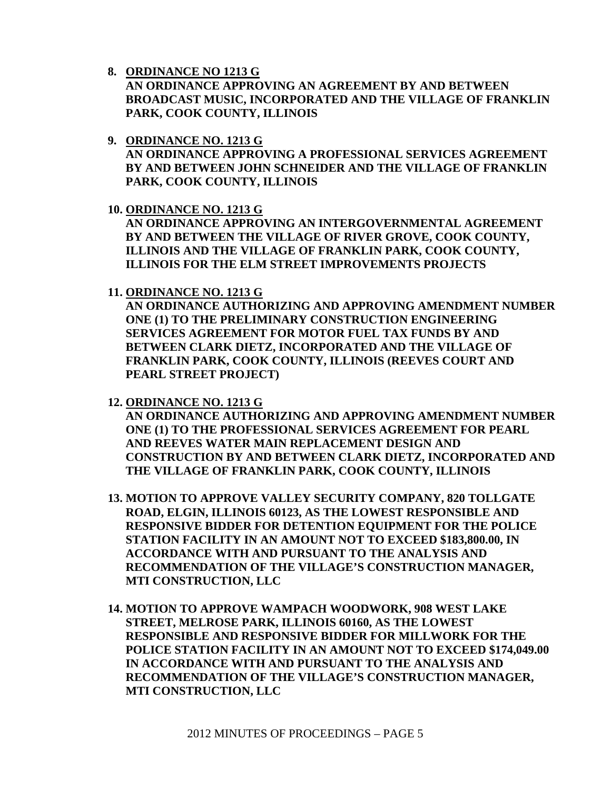**8. ORDINANCE NO 1213 G**

**AN ORDINANCE APPROVING AN AGREEMENT BY AND BETWEEN BROADCAST MUSIC, INCORPORATED AND THE VILLAGE OF FRANKLIN PARK, COOK COUNTY, ILLINOIS** 

- **9. ORDINANCE NO. 1213 G AN ORDINANCE APPROVING A PROFESSIONAL SERVICES AGREEMENT BY AND BETWEEN JOHN SCHNEIDER AND THE VILLAGE OF FRANKLIN PARK, COOK COUNTY, ILLINOIS**
- **10. ORDINANCE NO. 1213 G**

**AN ORDINANCE APPROVING AN INTERGOVERNMENTAL AGREEMENT BY AND BETWEEN THE VILLAGE OF RIVER GROVE, COOK COUNTY, ILLINOIS AND THE VILLAGE OF FRANKLIN PARK, COOK COUNTY, ILLINOIS FOR THE ELM STREET IMPROVEMENTS PROJECTS** 

**11. ORDINANCE NO. 1213 G**

**AN ORDINANCE AUTHORIZING AND APPROVING AMENDMENT NUMBER ONE (1) TO THE PRELIMINARY CONSTRUCTION ENGINEERING SERVICES AGREEMENT FOR MOTOR FUEL TAX FUNDS BY AND BETWEEN CLARK DIETZ, INCORPORATED AND THE VILLAGE OF FRANKLIN PARK, COOK COUNTY, ILLINOIS (REEVES COURT AND PEARL STREET PROJECT)** 

**12. ORDINANCE NO. 1213 G**

**AN ORDINANCE AUTHORIZING AND APPROVING AMENDMENT NUMBER ONE (1) TO THE PROFESSIONAL SERVICES AGREEMENT FOR PEARL AND REEVES WATER MAIN REPLACEMENT DESIGN AND CONSTRUCTION BY AND BETWEEN CLARK DIETZ, INCORPORATED AND THE VILLAGE OF FRANKLIN PARK, COOK COUNTY, ILLINOIS** 

- **13. MOTION TO APPROVE VALLEY SECURITY COMPANY, 820 TOLLGATE ROAD, ELGIN, ILLINOIS 60123, AS THE LOWEST RESPONSIBLE AND RESPONSIVE BIDDER FOR DETENTION EQUIPMENT FOR THE POLICE STATION FACILITY IN AN AMOUNT NOT TO EXCEED \$183,800.00, IN ACCORDANCE WITH AND PURSUANT TO THE ANALYSIS AND RECOMMENDATION OF THE VILLAGE'S CONSTRUCTION MANAGER, MTI CONSTRUCTION, LLC**
- **14. MOTION TO APPROVE WAMPACH WOODWORK, 908 WEST LAKE STREET, MELROSE PARK, ILLINOIS 60160, AS THE LOWEST RESPONSIBLE AND RESPONSIVE BIDDER FOR MILLWORK FOR THE POLICE STATION FACILITY IN AN AMOUNT NOT TO EXCEED \$174,049.00 IN ACCORDANCE WITH AND PURSUANT TO THE ANALYSIS AND RECOMMENDATION OF THE VILLAGE'S CONSTRUCTION MANAGER, MTI CONSTRUCTION, LLC**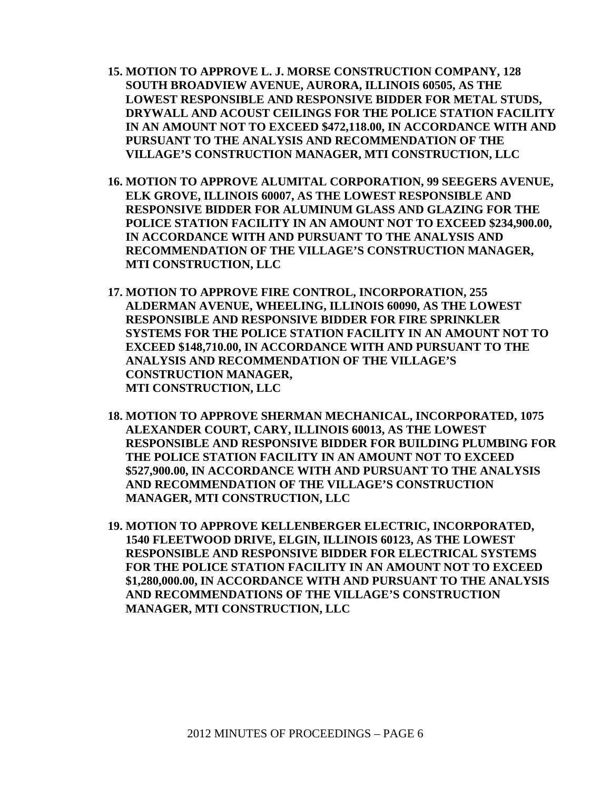- **15. MOTION TO APPROVE L. J. MORSE CONSTRUCTION COMPANY, 128 SOUTH BROADVIEW AVENUE, AURORA, ILLINOIS 60505, AS THE LOWEST RESPONSIBLE AND RESPONSIVE BIDDER FOR METAL STUDS, DRYWALL AND ACOUST CEILINGS FOR THE POLICE STATION FACILITY IN AN AMOUNT NOT TO EXCEED \$472,118.00, IN ACCORDANCE WITH AND PURSUANT TO THE ANALYSIS AND RECOMMENDATION OF THE VILLAGE'S CONSTRUCTION MANAGER, MTI CONSTRUCTION, LLC**
- **16. MOTION TO APPROVE ALUMITAL CORPORATION, 99 SEEGERS AVENUE, ELK GROVE, ILLINOIS 60007, AS THE LOWEST RESPONSIBLE AND RESPONSIVE BIDDER FOR ALUMINUM GLASS AND GLAZING FOR THE POLICE STATION FACILITY IN AN AMOUNT NOT TO EXCEED \$234,900.00, IN ACCORDANCE WITH AND PURSUANT TO THE ANALYSIS AND RECOMMENDATION OF THE VILLAGE'S CONSTRUCTION MANAGER, MTI CONSTRUCTION, LLC**
- **17. MOTION TO APPROVE FIRE CONTROL, INCORPORATION, 255 ALDERMAN AVENUE, WHEELING, ILLINOIS 60090, AS THE LOWEST RESPONSIBLE AND RESPONSIVE BIDDER FOR FIRE SPRINKLER SYSTEMS FOR THE POLICE STATION FACILITY IN AN AMOUNT NOT TO EXCEED \$148,710.00, IN ACCORDANCE WITH AND PURSUANT TO THE ANALYSIS AND RECOMMENDATION OF THE VILLAGE'S CONSTRUCTION MANAGER, MTI CONSTRUCTION, LLC**
- **18. MOTION TO APPROVE SHERMAN MECHANICAL, INCORPORATED, 1075 ALEXANDER COURT, CARY, ILLINOIS 60013, AS THE LOWEST RESPONSIBLE AND RESPONSIVE BIDDER FOR BUILDING PLUMBING FOR THE POLICE STATION FACILITY IN AN AMOUNT NOT TO EXCEED \$527,900.00, IN ACCORDANCE WITH AND PURSUANT TO THE ANALYSIS AND RECOMMENDATION OF THE VILLAGE'S CONSTRUCTION MANAGER, MTI CONSTRUCTION, LLC**
- **19. MOTION TO APPROVE KELLENBERGER ELECTRIC, INCORPORATED, 1540 FLEETWOOD DRIVE, ELGIN, ILLINOIS 60123, AS THE LOWEST RESPONSIBLE AND RESPONSIVE BIDDER FOR ELECTRICAL SYSTEMS FOR THE POLICE STATION FACILITY IN AN AMOUNT NOT TO EXCEED \$1,280,000.00, IN ACCORDANCE WITH AND PURSUANT TO THE ANALYSIS AND RECOMMENDATIONS OF THE VILLAGE'S CONSTRUCTION MANAGER, MTI CONSTRUCTION, LLC**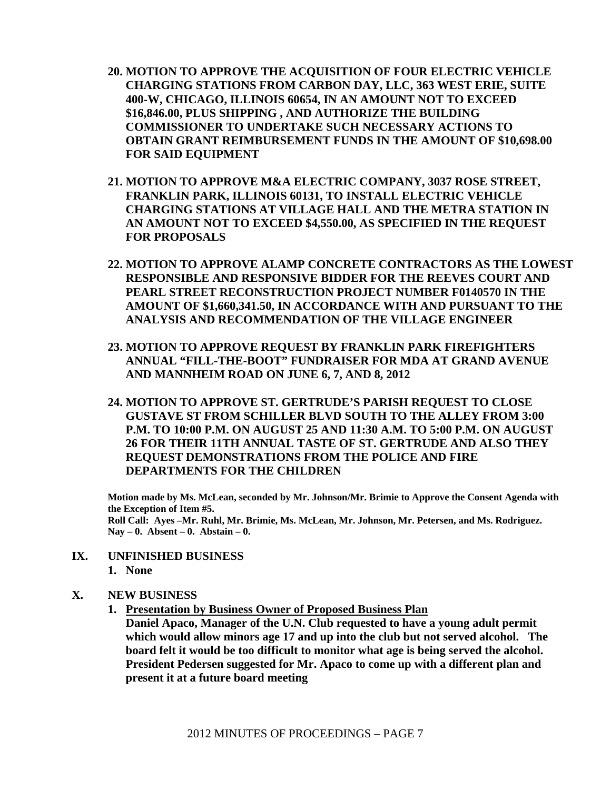- **20. MOTION TO APPROVE THE ACQUISITION OF FOUR ELECTRIC VEHICLE CHARGING STATIONS FROM CARBON DAY, LLC, 363 WEST ERIE, SUITE 400-W, CHICAGO, ILLINOIS 60654, IN AN AMOUNT NOT TO EXCEED \$16,846.00, PLUS SHIPPING , AND AUTHORIZE THE BUILDING COMMISSIONER TO UNDERTAKE SUCH NECESSARY ACTIONS TO OBTAIN GRANT REIMBURSEMENT FUNDS IN THE AMOUNT OF \$10,698.00 FOR SAID EQUIPMENT**
- **21. MOTION TO APPROVE M&A ELECTRIC COMPANY, 3037 ROSE STREET, FRANKLIN PARK, ILLINOIS 60131, TO INSTALL ELECTRIC VEHICLE CHARGING STATIONS AT VILLAGE HALL AND THE METRA STATION IN AN AMOUNT NOT TO EXCEED \$4,550.00, AS SPECIFIED IN THE REQUEST FOR PROPOSALS**
- **22. MOTION TO APPROVE ALAMP CONCRETE CONTRACTORS AS THE LOWEST RESPONSIBLE AND RESPONSIVE BIDDER FOR THE REEVES COURT AND PEARL STREET RECONSTRUCTION PROJECT NUMBER F0140570 IN THE AMOUNT OF \$1,660,341.50, IN ACCORDANCE WITH AND PURSUANT TO THE ANALYSIS AND RECOMMENDATION OF THE VILLAGE ENGINEER**
- **23. MOTION TO APPROVE REQUEST BY FRANKLIN PARK FIREFIGHTERS ANNUAL "FILL-THE-BOOT" FUNDRAISER FOR MDA AT GRAND AVENUE AND MANNHEIM ROAD ON JUNE 6, 7, AND 8, 2012**
- **24. MOTION TO APPROVE ST. GERTRUDE'S PARISH REQUEST TO CLOSE GUSTAVE ST FROM SCHILLER BLVD SOUTH TO THE ALLEY FROM 3:00 P.M. TO 10:00 P.M. ON AUGUST 25 AND 11:30 A.M. TO 5:00 P.M. ON AUGUST 26 FOR THEIR 11TH ANNUAL TASTE OF ST. GERTRUDE AND ALSO THEY REQUEST DEMONSTRATIONS FROM THE POLICE AND FIRE DEPARTMENTS FOR THE CHILDREN**

**Motion made by Ms. McLean, seconded by Mr. Johnson/Mr. Brimie to Approve the Consent Agenda with the Exception of Item #5. Roll Call: Ayes –Mr. Ruhl, Mr. Brimie, Ms. McLean, Mr. Johnson, Mr. Petersen, and Ms. Rodriguez. Nay – 0. Absent – 0. Abstain – 0.**

**IX. UNFINISHED BUSINESS 1. None** 

## **X. NEW BUSINESS**

- **1. Presentation by Business Owner of Proposed Business Plan**
	- **Daniel Apaco, Manager of the U.N. Club requested to have a young adult permit which would allow minors age 17 and up into the club but not served alcohol. The board felt it would be too difficult to monitor what age is being served the alcohol. President Pedersen suggested for Mr. Apaco to come up with a different plan and present it at a future board meeting**